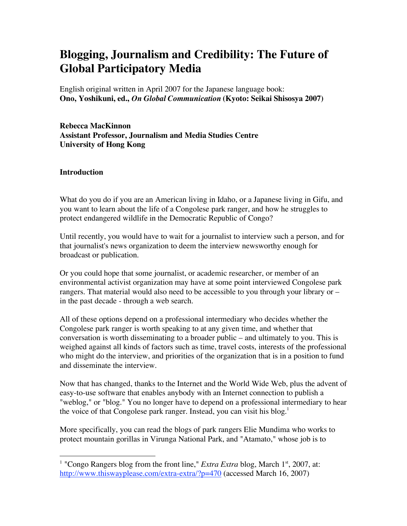# **Blogging, Journalism and Credibility: The Future of Global Participatory Media**

English original written in April 2007 for the Japanese language book: **Ono, Yoshikuni, ed.,** *On Global Communication* **(Kyoto: Seikai Shisosya 2007)**

**Rebecca MacKinnon Assistant Professor, Journalism and Media Studies Centre University of Hong Kong**

#### **Introduction**

What do you do if you are an American living in Idaho, or a Japanese living in Gifu, and you want to learn about the life of a Congolese park ranger, and how he struggles to protect endangered wildlife in the Democratic Republic of Congo?

Until recently, you would have to wait for a journalist to interview such a person, and for that journalist's news organization to deem the interview newsworthy enough for broadcast or publication.

Or you could hope that some journalist, or academic researcher, or member of an environmental activist organization may have at some point interviewed Congolese park rangers. That material would also need to be accessible to you through your library or – in the past decade - through a web search.

All of these options depend on a professional intermediary who decides whether the Congolese park ranger is worth speaking to at any given time, and whether that conversation is worth disseminating to a broader public – and ultimately to you. This is weighed against all kinds of factors such as time, travel costs, interests of the professional who might do the interview, and priorities of the organization that is in a position to fund and disseminate the interview.

Now that has changed, thanks to the Internet and the World Wide Web, plus the advent of easy-to-use software that enables anybody with an Internet connection to publish a "weblog," or "blog." You no longer have to depend on a professional intermediary to hear the voice of that Congolese park ranger. Instead, you can visit his blog.<sup>1</sup>

More specifically, you can read the blogs of park rangers Elie Mundima who works to protect mountain gorillas in Virunga National Park, and "Atamato," whose job is to

<sup>&</sup>lt;sup>1</sup> "Congo Rangers blog from the front line," *Extra Extra* blog, March 1<sup>st</sup>, 2007, at: http://www.thiswayplease.com/extra-extra/?p=470 (accessed March 16, 2007)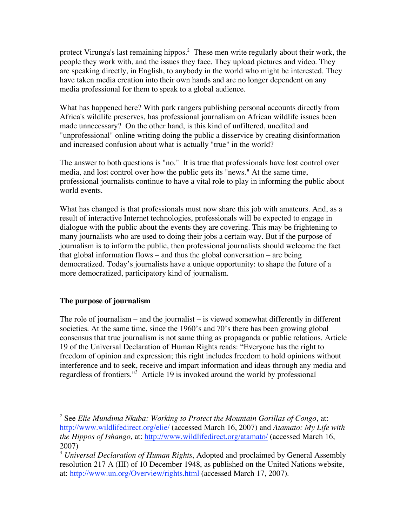protect Virunga's last remaining hippos.<sup>2</sup> These men write regularly about their work, the people they work with, and the issues they face. They upload pictures and video. They are speaking directly, in English, to anybody in the world who might be interested. They have taken media creation into their own hands and are no longer dependent on any media professional for them to speak to a global audience.

What has happened here? With park rangers publishing personal accounts directly from Africa's wildlife preserves, has professional journalism on African wildlife issues been made unnecessary? On the other hand, is this kind of unfiltered, unedited and "unprofessional" online writing doing the public a disservice by creating disinformation and increased confusion about what is actually "true" in the world?

The answer to both questions is "no." It is true that professionals have lost control over media, and lost control over how the public gets its "news." At the same time, professional journalists continue to have a vital role to play in informing the public about world events.

What has changed is that professionals must now share this job with amateurs. And, as a result of interactive Internet technologies, professionals will be expected to engage in dialogue with the public about the events they are covering. This may be frightening to many journalists who are used to doing their jobs a certain way. But if the purpose of journalism is to inform the public, then professional journalists should welcome the fact that global information flows – and thus the global conversation – are being democratized. Today's journalists have a unique opportunity: to shape the future of a more democratized, participatory kind of journalism.

# **The purpose of journalism**

The role of journalism – and the journalist – is viewed somewhat differently in different societies. At the same time, since the 1960's and 70's there has been growing global consensus that true journalism is not same thing as propaganda or public relations. Article 19 of the Universal Declaration of Human Rights reads: "Everyone has the right to freedom of opinion and expression; this right includes freedom to hold opinions without interference and to seek, receive and impart information and ideas through any media and regardless of frontiers." <sup>3</sup> Article 19 is invoked around the world by professional

 <sup>2</sup> See *Elie Mundima Nkuba: Working to Protect the Mountain Gorillas of Congo*, at: http://www.wildlifedirect.org/elie/ (accessed March 16, 2007) and *Atamato: My Life with the Hippos of Ishango*, at: http://www.wildlifedirect.org/atamato/ (accessed March 16, 2007)

<sup>3</sup> *Universal Declaration of Human Rights*, Adopted and proclaimed by General Assembly resolution 217 A (III) of 10 December 1948, as published on the United Nations website, at: http://www.un.org/Overview/rights.html (accessed March 17, 2007).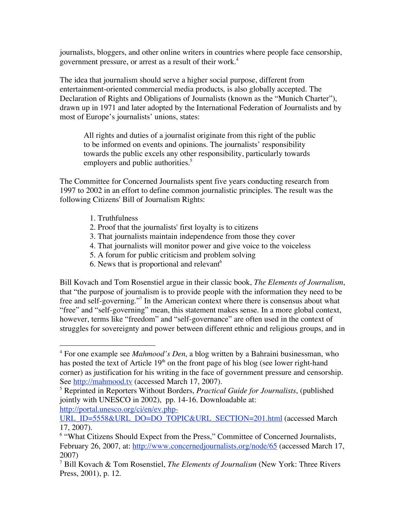journalists, bloggers, and other online writers in countries where people face censorship, government pressure, or arrest as a result of their work.<sup>4</sup>

The idea that journalism should serve a higher social purpose, different from entertainment-oriented commercial media products, is also globally accepted. The Declaration of Rights and Obligations of Journalists (known as the "Munich Charter"), drawn up in 1971 and later adopted by the International Federation of Journalists and by most of Europe's journalists' unions, states:

All rights and duties of a journalist originate from this right of the public to be informed on events and opinions. The journalists' responsibility towards the public excels any other responsibility, particularly towards employers and public authorities.<sup>5</sup>

The Committee for Concerned Journalists spent five years conducting research from 1997 to 2002 in an effort to define common journalistic principles. The result was the following Citizens' Bill of Journalism Rights:

- 1. Truthfulness
- 2. Proof that the journalists' first loyalty is to citizens
- 3. That journalists maintain independence from those they cover
- 4. That journalists will monitor power and give voice to the voiceless
- 5. A forum for public criticism and problem solving
- 6. News that is proportional and relevant<sup> $6$ </sup>

Bill Kovach and Tom Rosenstiel argue in their classic book, *The Elements of Journalism*, that "the purpose of journalism is to provide people with the information they need to be free and self-governing."<sup>7</sup> In the American context where there is consensus about what "free" and "self-governing" mean, this statement makes sense. In a more global context, however, terms like "freedom" and "self-governance" are often used in the context of struggles for sovereignty and power between different ethnic and religious groups, and in

http://portal.unesco.org/ci/en/ev.php-

 <sup>4</sup> For one example see *Mahmood's Den*, <sup>a</sup> blog written by a Bahraini businessman, who has posted the text of Article  $19<sup>th</sup>$  on the front page of his blog (see lower right-hand corner) as justification for his writing in the face of government pressure and censorship. See http://mahmood.tv (accessed March 17, 2007).

<sup>5</sup> Reprinted in Reporters Without Borders, *Practical Guide for Journalists*, (published jointly with UNESCO in 2002), pp. 14-16. Downloadable at:

URL\_ID=5558&URL\_DO=DO\_TOPIC&URL\_SECTION=201.html (accessed March 17, 2007).

<sup>&</sup>lt;sup>6</sup> "What Citizens Should Expect from the Press," Committee of Concerned Journalists, February 26, 2007, at: http://www.concernedjournalists.org/node/65 (accessed March 17, 2007)

<sup>7</sup> Bill Kovach & Tom Rosenstiel, *The Elements of Journalism* (New York: Three Rivers Press, 2001), p. 12.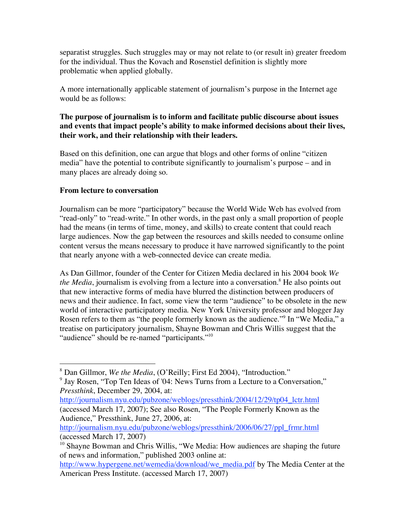separatist struggles. Such struggles may or may not relate to (or result in) greater freedom for the individual. Thus the Kovach and Rosenstiel definition is slightly more problematic when applied globally.

A more internationally applicable statement of journalism's purpose in the Internet age would be as follows:

#### **The purpose of journalism is to inform and facilitate public discourse about issues and events that impact people's ability to make informed decisions about their lives, their work, and their relationship with their leaders.**

Based on this definition, one can argue that blogs and other forms of online "citizen media" have the potential to contribute significantly to journalism's purpose – and in many places are already doing so.

# **From lecture to conversation**

Journalism can be more "participatory" because the World Wide Web has evolved from "read-only" to "read-write." In other words, in the past only a small proportion of people had the means (in terms of time, money, and skills) to create content that could reach large audiences. Now the gap between the resources and skills needed to consume online content versus the means necessary to produce it have narrowed significantly to the point that nearly anyone with a web-connected device can create media.

As Dan Gillmor, founder of the Center for Citizen Media declared in his 2004 book *We the Media*, journalism is evolving from a lecture into a conversation.<sup>8</sup> He also points out that new interactive forms of media have blurred the distinction between producers of news and their audience. In fact, some view the term "audience" to be obsolete in the new world of interactive participatory media. New York University professor and blogger Jay Rosen refers to them as "the people formerly known as the audience."<sup>9</sup> In "We Media," a treatise on participatory journalism, Shayne Bowman and Chris Willis suggest that the "audience" should be re-named "participants."<sup>10</sup>

 <sup>8</sup> Dan Gillmor, *We the Media*, (O'Reilly; First Ed 2004), "Introduction."

<sup>&</sup>lt;sup>9</sup> Jay Rosen, "Top Ten Ideas of '04: News Turns from a Lecture to a Conversation," *Pressthink*, December 29, 2004, at:

http://journalism.nyu.edu/pubzone/weblogs/pressthink/2004/12/29/tp04\_lctr.html (accessed March 17, 2007); See also Rosen, "The People Formerly Known as the Audience," Pressthink, June 27, 2006, at:

http://journalism.nyu.edu/pubzone/weblogs/pressthink/2006/06/27/ppl\_frmr.html (accessed March 17, 2007)

 $10$  Shayne Bowman and Chris Willis, "We Media: How audiences are shaping the future of news and information," published 2003 online at:

http://www.hypergene.net/wemedia/download/we\_media.pdf by The Media Center at the American Press Institute. (accessed March 17, 2007)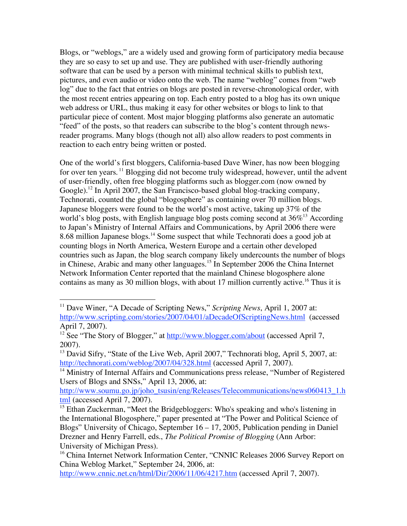Blogs, or "weblogs," are a widely used and growing form of participatory media because they are so easy to set up and use. They are published with user-friendly authoring software that can be used by a person with minimal technical skills to publish text, pictures, and even audio or video onto the web. The name "weblog" comes from "web log" due to the fact that entries on blogs are posted in reverse-chronological order, with the most recent entries appearing on top. Each entry posted to a blog has its own unique web address or URL, thus making it easy for other websites or blogs to link to that particular piece of content. Most major blogging platforms also generate an automatic "feed" of the posts, so that readers can subscribe to the blog's content through newsreader programs. Many blogs (though not all) also allow readers to post comments in reaction to each entry being written or posted.

One of the world's first bloggers, California-based Dave Winer, has now been blogging for over ten years. <sup>11</sup> Blogging did not become truly widespread, however, until the advent of user-friendly, often free blogging platforms such as blogger.com (now owned by Google).<sup>12</sup> In April 2007, the San Francisco-based global blog-tracking company, Technorati, counted the global "blogosphere" as containing over 70 million blogs. Japanese bloggers were found to be the world's most active, taking up 37% of the world's blog posts, with English language blog posts coming second at 36%<sup>13</sup> According to Japan's Ministry of Internal Affairs and Communications, by April 2006 there were 8.68 million Japanese blogs.<sup>14</sup> Some suspect that while Technorati does a good job at counting blogs in North America, Western Europe and a certain other developed countries such as Japan, the blog search company likely undercounts the number of blogs in Chinese, Arabic and many other languages. <sup>15</sup> In September 2006 the China Internet Network Information Center reported that the mainland Chinese blogosphere alone contains as many as 30 million blogs, with about 17 million currently active. <sup>16</sup> Thus it is

<sup>&</sup>lt;sup>11</sup> Dave Winer, "A Decade of Scripting News," *Scripting News*, April 1, 2007 at: http://www.scripting.com/stories/2007/04/01/aDecadeOfScriptingNews.html (accessed April 7, 2007).

<sup>&</sup>lt;sup>12</sup> See "The Story of Blogger," at http://www.blogger.com/about (accessed April 7, 2007).

<sup>&</sup>lt;sup>13</sup> David Sifry, "State of the Live Web, April 2007," Technorati blog, April 5, 2007, at: http://technorati.com/weblog/2007/04/328.html (accessed April 7, 2007).

<sup>&</sup>lt;sup>14</sup> Ministry of Internal Affairs and Communications press release, "Number of Registered Users of Blogs and SNSs," April 13, 2006, at:

http://www.soumu.go.jp/joho\_tsusin/eng/Releases/Telecommunications/news060413\_1.h tml (accessed April 7, 2007).

<sup>&</sup>lt;sup>15</sup> Ethan Zuckerman, "Meet the Bridgebloggers: Who's speaking and who's listening in the International Blogosphere," paper presented at "The Power and Political Science of Blogs" University of Chicago, September 16 – 17, 2005, Publication pending in Daniel Drezner and Henry Farrell, eds., *The Political Promise of Blogging* (Ann Arbor: University of Michigan Press).

<sup>&</sup>lt;sup>16</sup> China Internet Network Information Center, "CNNIC Releases 2006 Survey Report on China Weblog Market," September 24, 2006, at:

http://www.cnnic.net.cn/html/Dir/2006/11/06/4217.htm (accessed April 7, 2007).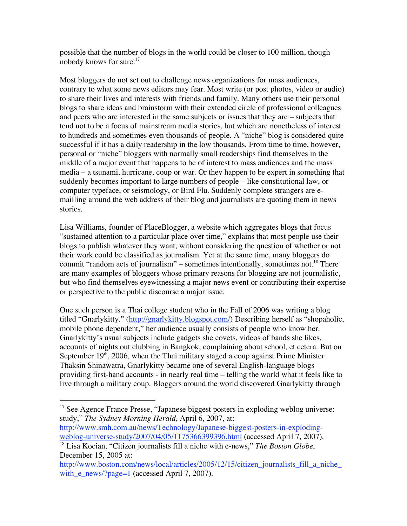possible that the number of blogs in the world could be closer to 100 million, though nobody knows for sure.<sup>17</sup>

Most bloggers do not set out to challenge news organizations for mass audiences, contrary to what some news editors may fear. Most write (or post photos, video or audio) to share their lives and interests with friends and family. Many others use their personal blogs to share ideas and brainstorm with their extended circle of professional colleagues and peers who are interested in the same subjects or issues that they are – subjects that tend not to be a focus of mainstream media stories, but which are nonetheless of interest to hundreds and sometimes even thousands of people. A "niche" blog is considered quite successful if it has a daily readership in the low thousands. From time to time, however, personal or "niche" bloggers with normally small readerships find themselves in the middle of a major event that happens to be of interest to mass audiences and the mass media – a tsunami, hurricane, coup or war. Or they happen to be expert in something that suddenly becomes important to large numbers of people – like constitutional law, or computer typeface, or seismology, or Bird Flu. Suddenly complete strangers are emailling around the web address of their blog and journalists are quoting them in news stories.

Lisa Williams, founder of PlaceBlogger, a website which aggregates blogs that focus "sustained attention to a particular place over time," explains that most people use their blogs to publish whatever they want, without considering the question of whether or not their work could be classified as journalism. Yet at the same time, many bloggers do commit "random acts of journalism" – sometimes intentionally, sometimes not.<sup>18</sup> There are many examples of bloggers whose primary reasons for blogging are not journalistic, but who find themselves eyewitnessing a major news event or contributing their expertise or perspective to the public discourse a major issue.

One such person is a Thai college student who in the Fall of 2006 was writing a blog titled "Gnarlykitty." (http://gnarlykitty.blogspot.com/) Describing herself as "shopaholic, mobile phone dependent," her audience usually consists of people who know her. Gnarlykitty's usual subjects include gadgets she covets, videos of bands she likes, accounts of nights out clubbing in Bangkok, complaining about school, et cetera. But on September 19<sup>th</sup>, 2006, when the Thai military staged a coup against Prime Minister Thaksin Shinawatra, Gnarlykitty became one of several English-language blogs providing first-hand accounts - in nearly real time – telling the world what it feels like to live through a military coup. Bloggers around the world discovered Gnarlykitty through

<sup>&</sup>lt;sup>17</sup> See Agence France Presse, "Japanese biggest posters in exploding weblog universe: study," *The Sydney Morning Herald*, April 6, 2007, at:

http://www.smh.com.au/news/Technology/Japanese-biggest-posters-in-explodingweblog-universe-study/2007/04/05/1175366399396.html (accessed April 7, 2007).

<sup>18</sup> Lisa Kocian, "Citizen journalists fill a niche with e-news," *The Boston Globe*, December 15, 2005 at:

http://www.boston.com/news/local/articles/2005/12/15/citizen journalists fill a niche with  $e$  news/?page=1 (accessed April 7, 2007).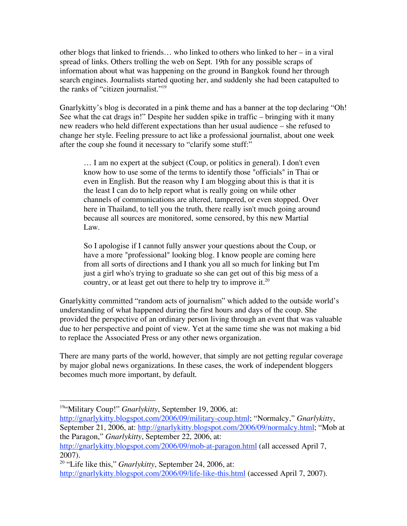other blogs that linked to friends… who linked to others who linked to her – in a viral spread of links. Others trolling the web on Sept. 19th for any possible scraps of information about what was happening on the ground in Bangkok found her through search engines. Journalists started quoting her, and suddenly she had been catapulted to the ranks of "citizen journalist."19

Gnarlykitty's blog is decorated in a pink theme and has a banner at the top declaring "Oh! See what the cat drags in!" Despite her sudden spike in traffic – bringing with it many new readers who held different expectations than her usual audience – she refused to change her style. Feeling pressure to act like a professional journalist, about one week after the coup she found it necessary to "clarify some stuff:"

… I am no expert at the subject (Coup, or politics in general). I don't even know how to use some of the terms to identify those "officials" in Thai or even in English. But the reason why I am blogging about this is that it is the least I can do to help report what is really going on while other channels of communications are altered, tampered, or even stopped. Over here in Thailand, to tell you the truth, there really isn't much going around because all sources are monitored, some censored, by this new Martial Law.

So I apologise if I cannot fully answer your questions about the Coup, or have a more "professional" looking blog. I know people are coming here from all sorts of directions and I thank you all so much for linking but I'm just a girl who's trying to graduate so she can get out of this big mess of a country, or at least get out there to help try to improve it.<sup>20</sup>

Gnarlykitty committed "random acts of journalism" which added to the outside world's understanding of what happened during the first hours and days of the coup. She provided the perspective of an ordinary person living through an event that was valuable due to her perspective and point of view. Yet at the same time she was not making a bid to replace the Associated Press or any other news organization.

There are many parts of the world, however, that simply are not getting regular coverage by major global news organizations. In these cases, the work of independent bloggers becomes much more important, by default.

<sup>19&</sup>lt;sup>4</sup>Military Coup!" *Gnarlykitty*, September 19, 2006, at:

http://gnarlykitty.blogspot.com/2006/09/military-coup.html; "Normalcy," *Gnarlykitty*, September 21, 2006, at: http://gnarlykitty.blogspot.com/2006/09/normalcy.html; "Mob at the Paragon," *Gnarlykitty*, September 22, 2006, at: http://gnarlykitty.blogspot.com/2006/09/mob-at-paragon.html (all accessed April 7,

<sup>2007).</sup>

<sup>20</sup> "Life like this," *Gnarlykitty*, September 24, 2006, at: http://gnarlykitty.blogspot.com/2006/09/life-like-this.html (accessed April 7, 2007).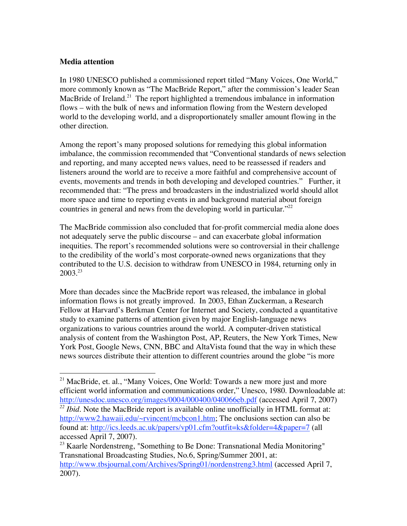#### **Media attention**

In 1980 UNESCO published a commissioned report titled "Many Voices, One World," more commonly known as "The MacBride Report," after the commission's leader Sean MacBride of Ireland.<sup>21</sup> The report highlighted a tremendous imbalance in information flows – with the bulk of news and information flowing from the Western developed world to the developing world, and a disproportionately smaller amount flowing in the other direction.

Among the report's many proposed solutions for remedying this global information imbalance, the commission recommended that "Conventional standards of news selection and reporting, and many accepted news values, need to be reassessed if readers and listeners around the world are to receive a more faithful and comprehensive account of events, movements and trends in both developing and developed countries." Further, it recommended that: "The press and broadcasters in the industrialized world should allot more space and time to reporting events in and background material about foreign countries in general and news from the developing world in particular.<sup>"22</sup>

The MacBride commission also concluded that for-profit commercial media alone does not adequately serve the public discourse – and can exacerbate global information inequities. The report's recommended solutions were so controversial in their challenge to the credibility of the world's most corporate-owned news organizations that they contributed to the U.S. decision to withdraw from UNESCO in 1984, returning only in  $2003.<sup>23</sup>$ 

More than decades since the MacBride report was released, the imbalance in global information flows is not greatly improved. In 2003, Ethan Zuckerman, a Research Fellow at Harvard's Berkman Center for Internet and Society, conducted a quantitative study to examine patterns of attention given by major English-language news organizations to various countries around the world. A computer-driven statistical analysis of content from the Washington Post, AP, Reuters, the New York Times, New York Post, Google News, CNN, BBC and AltaVista found that the way in which these news sources distribute their attention to different countries around the globe "is more

<sup>&</sup>lt;sup>21</sup> MacBride, et. al., "Many Voices, One World: Towards a new more just and more efficient world information and communications order," Unesco, 1980. Downloadable at: http://unesdoc.unesco.org/images/0004/000400/040066eb.pdf (accessed April 7, 2007)

<sup>&</sup>lt;sup>22</sup> *Ibid*. Note the MacBride report is available online unofficially in HTML format at: http://www2.hawaii.edu/~rvincent/mcbcon1.htm; The onclusions section can also be found at: http://ics.leeds.ac.uk/papers/vp01.cfm?outfit=ks&folder=4&paper=7 (all accessed April 7, 2007).

<sup>&</sup>lt;sup>23</sup> Kaarle Nordenstreng, "Something to Be Done: Transnational Media Monitoring" Transnational Broadcasting Studies, No.6, Spring/Summer 2001, at: http://www.tbsjournal.com/Archives/Spring01/nordenstreng3.html (accessed April 7, 2007).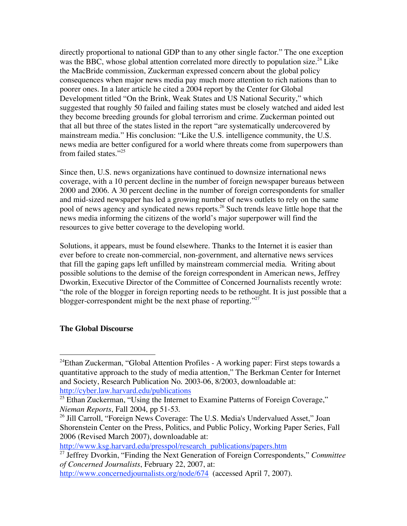directly proportional to national GDP than to any other single factor." The one exception was the BBC, whose global attention correlated more directly to population size.<sup>24</sup> Like the MacBride commission, Zuckerman expressed concern about the global policy consequences when major news media pay much more attention to rich nations than to poorer ones. In a later article he cited a 2004 report by the Center for Global Development titled "On the Brink, Weak States and US National Security," which suggested that roughly 50 failed and failing states must be closely watched and aided lest they become breeding grounds for global terrorism and crime. Zuckerman pointed out that all but three of the states listed in the report "are systematically undercovered by mainstream media." His conclusion: "Like the U.S. intelligence community, the U.S. news media are better configured for a world where threats come from superpowers than from failed states."25

Since then, U.S. news organizations have continued to downsize international news coverage, with a 10 percent decline in the number of foreign newspaper bureaus between 2000 and 2006. A 30 percent decline in the number of foreign correspondents for smaller and mid-sized newspaper has led a growing number of news outlets to rely on the same pool of news agency and syndicated news reports. <sup>26</sup> Such trends leave little hope that the news media informing the citizens of the world's major superpower will find the resources to give better coverage to the developing world.

Solutions, it appears, must be found elsewhere. Thanks to the Internet it is easier than ever before to create non-commercial, non-government, and alternative news services that fill the gaping gaps left unfilled by mainstream commercial media. Writing about possible solutions to the demise of the foreign correspondent in American news, Jeffrey Dworkin, Executive Director of the Committee of Concerned Journalists recently wrote: "the role of the blogger in foreign reporting needs to be rethought. It is just possible that a blogger-correspondent might be the next phase of reporting."<sup>27</sup>

#### **The Global Discourse**

http://www.ksg.harvard.edu/presspol/research\_publications/papers.htm

 <sup>24</sup> Ethan Zuckerman, "Global Attention Profiles - A working paper: First steps towards a quantitative approach to the study of media attention," The Berkman Center for Internet and Society, Research Publication No. 2003-06, 8/2003, downloadable at: http://cyber.law.harvard.edu/publications

 $25$  Ethan Zuckerman, "Using the Internet to Examine Patterns of Foreign Coverage," *Nieman Reports*, Fall 2004, pp 51-53.

<sup>&</sup>lt;sup>26</sup> Jill Carroll, "Foreign News Coverage: The U.S. Media's Undervalued Asset," Joan Shorenstein Center on the Press, Politics, and Public Policy, Working Paper Series, Fall 2006 (Revised March 2007), downloadable at:

<sup>27</sup> Jeffrey Dvorkin, "Finding the Next Generation of Foreign Correspondents," *Committee of Concerned Journalists*, February 22, 2007, at:

http://www.concernedjournalists.org/node/674 (accessed April 7, 2007).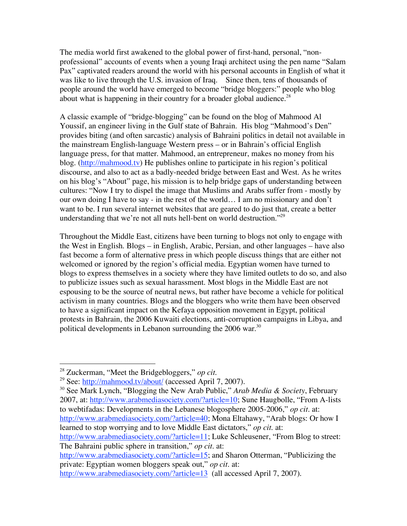The media world first awakened to the global power of first-hand, personal, "nonprofessional" accounts of events when a young Iraqi architect using the pen name "Salam Pax" captivated readers around the world with his personal accounts in English of what it was like to live through the U.S. invasion of Iraq. Since then, tens of thousands of people around the world have emerged to become "bridge bloggers:" people who blog about what is happening in their country for a broader global audience.<sup>28</sup>

A classic example of "bridge-blogging" can be found on the blog of Mahmood Al Youssif, an engineer living in the Gulf state of Bahrain. His blog "Mahmood's Den" provides biting (and often sarcastic) analysis of Bahraini politics in detail not available in the mainstream English-language Western press – or in Bahrain's official English language press, for that matter. Mahmood, an entrepreneur, makes no money from his blog. (http://mahmood.tv) He publishes online to participate in his region's political discourse, and also to act as a badly-needed bridge between East and West. As he writes on his blog's "About" page, his mission is to help bridge gaps of understanding between cultures: "Now I try to dispel the image that Muslims and Arabs suffer from - mostly by our own doing I have to say - in the rest of the world… I am no missionary and don't want to be. I run several internet websites that are geared to do just that, create a better understanding that we're not all nuts hell-bent on world destruction."<sup>29</sup>

Throughout the Middle East, citizens have been turning to blogs not only to engage with the West in English. Blogs – in English, Arabic, Persian, and other languages – have also fast become a form of alternative press in which people discuss things that are either not welcomed or ignored by the region's official media. Egyptian women have turned to blogs to express themselves in a society where they have limited outlets to do so, and also to publicize issues such as sexual harassment. Most blogs in the Middle East are not espousing to be the source of neutral news, but rather have become a vehicle for political activism in many countries. Blogs and the bloggers who write them have been observed to have a significant impact on the Kefaya opposition movement in Egypt, political protests in Bahrain, the 2006 Kuwaiti elections, anti-corruption campaigns in Libya, and political developments in Lebanon surrounding the 2006 war.<sup>30</sup>

<sup>30</sup> See Mark Lynch, "Blogging the New Arab Public," *Arab Media & Society*, February 2007, at: http://www.arabmediasociety.com/?article=10; Sune Haugbolle, "From A-lists to webtifadas: Developments in the Lebanese blogosphere 2005-2006," *op cit.* at: http://www.arabmediasociety.com/?article=40; Mona Eltahawy, "Arab blogs: Or how I learned to stop worrying and to love Middle East dictators," *op cit.* at:

http://www.arabmediasociety.com/?article=11; Luke Schleusener, "From Blog to street: The Bahraini public sphere in transition," *op cit.* at:

http://www.arabmediasociety.com/?article=15; and Sharon Otterman, "Publicizing the private: Egyptian women bloggers speak out," *op cit.* at:

http://www.arabmediasociety.com/?article=13 (all accessed April 7, 2007).

 <sup>28</sup> Zuckerman, "Meet the Bridgebloggers," *op cit.*

<sup>29</sup> See: http://mahmood.tv/about/ (accessed April 7, 2007).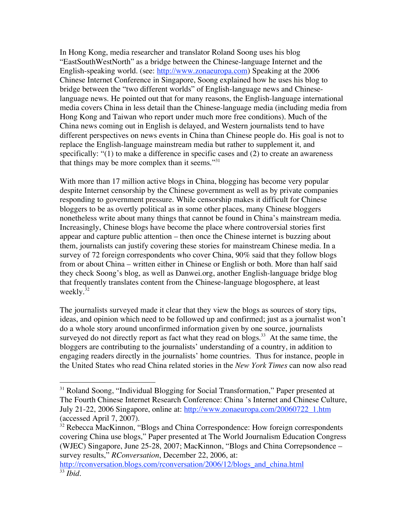In Hong Kong, media researcher and translator Roland Soong uses his blog "EastSouthWestNorth" as a bridge between the Chinese-language Internet and the English-speaking world. (see: http://www.zonaeuropa.com) Speaking at the 2006 Chinese Internet Conference in Singapore, Soong explained how he uses his blog to bridge between the "two different worlds" of English-language news and Chineselanguage news. He pointed out that for many reasons, the English-language international media covers China in less detail than the Chinese-language media (including media from Hong Kong and Taiwan who report under much more free conditions). Much of the China news coming out in English is delayed, and Western journalists tend to have different perspectives on news events in China than Chinese people do. His goal is not to replace the English-language mainstream media but rather to supplement it, and specifically: "(1) to make a difference in specific cases and (2) to create an awareness that things may be more complex than it seems. $131$ 

With more than 17 million active blogs in China, blogging has become very popular despite Internet censorship by the Chinese government as well as by private companies responding to government pressure. While censorship makes it difficult for Chinese bloggers to be as overtly political as in some other places, many Chinese bloggers nonetheless write about many things that cannot be found in China's mainstream media. Increasingly, Chinese blogs have become the place where controversial stories first appear and capture public attention – then once the Chinese internet is buzzing about them, journalists can justify covering these stories for mainstream Chinese media. In a survey of 72 foreign correspondents who cover China, 90% said that they follow blogs from or about China – written either in Chinese or English or both. More than half said they check Soong's blog, as well as Danwei.org, another English-language bridge blog that frequently translates content from the Chinese-language blogosphere, at least weekly.<sup>32</sup>

The journalists surveyed made it clear that they view the blogs as sources of story tips, ideas, and opinion which need to be followed up and confirmed; just as a journalist won't do a whole story around unconfirmed information given by one source, journalists surveyed do not directly report as fact what they read on blogs. $33$  At the same time, the bloggers are contributing to the journalists' understanding of a country, in addition to engaging readers directly in the journalists' home countries. Thus for instance, people in the United States who read China related stories in the *New York Times* can now also read

<sup>&</sup>lt;sup>31</sup> Roland Soong, "Individual Blogging for Social Transformation," Paper presented at The Fourth Chinese Internet Research Conference: China 's Internet and Chinese Culture, July 21-22, 2006 Singapore, online at: http://www.zonaeuropa.com/20060722\_1.htm (accessed April 7, 2007).

<sup>&</sup>lt;sup>32</sup> Rebecca MacKinnon, "Blogs and China Correspondence: How foreign correspondents covering China use blogs," Paper presented at The World Journalism Education Congress (WJEC) Singapore, June 25-28, 2007; MacKinnon, "Blogs and China Correpsondence – survey results," *RConversation*, December 22, 2006, at:

http://rconversation.blogs.com/rconversation/2006/12/blogs\_and\_china.html <sup>33</sup> *Ibid.*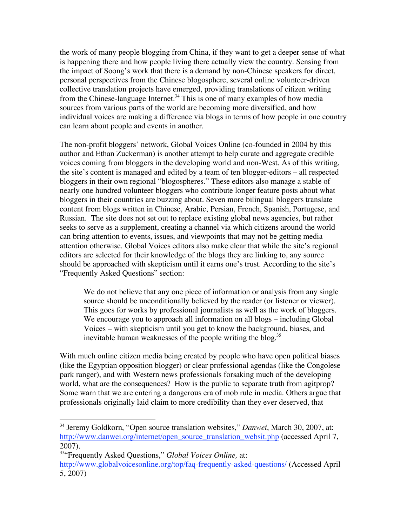the work of many people blogging from China, if they want to get a deeper sense of what is happening there and how people living there actually view the country. Sensing from the impact of Soong's work that there is a demand by non-Chinese speakers for direct, personal perspectives from the Chinese blogosphere, several online volunteer-driven collective translation projects have emerged, providing translations of citizen writing from the Chinese-language Internet.<sup>34</sup> This is one of many examples of how media sources from various parts of the world are becoming more diversified, and how individual voices are making a difference via blogs in terms of how people in one country can learn about people and events in another.

The non-profit bloggers' network, Global Voices Online (co-founded in 2004 by this author and Ethan Zuckerman) is another attempt to help curate and aggregate credible voices coming from bloggers in the developing world and non-West. As of this writing, the site's content is managed and edited by a team of ten blogger-editors – all respected bloggers in their own regional "blogospheres." These editors also manage a stable of nearly one hundred volunteer bloggers who contribute longer feature posts about what bloggers in their countries are buzzing about. Seven more bilingual bloggers translate content from blogs written in Chinese, Arabic, Persian, French, Spanish, Portugese, and Russian. The site does not set out to replace existing global news agencies, but rather seeks to serve as a supplement, creating a channel via which citizens around the world can bring attention to events, issues, and viewpoints that may not be getting media attention otherwise. Global Voices editors also make clear that while the site's regional editors are selected for their knowledge of the blogs they are linking to, any source should be approached with skepticism until it earns one's trust. According to the site's "Frequently Asked Questions" section:

We do not believe that any one piece of information or analysis from any single source should be unconditionally believed by the reader (or listener or viewer). This goes for works by professional journalists as well as the work of bloggers. We encourage you to approach all information on all blogs – including Global Voices – with skepticism until you get to know the background, biases, and inevitable human weaknesses of the people writing the blog.<sup>35</sup>

With much online citizen media being created by people who have open political biases (like the Egyptian opposition blogger) or clear professional agendas (like the Congolese park ranger), and with Western news professionals forsaking much of the developing world, what are the consequences? How is the public to separate truth from agitprop? Some warn that we are entering a dangerous era of mob rule in media. Others argue that professionals originally laid claim to more credibility than they ever deserved, that

 <sup>34</sup> Jeremy Goldkorn, "Open source translation websites," *Danwei*, March 30, 2007, at: http://www.danwei.org/internet/open\_source\_translation\_websit.php (accessed April 7, 2007).

<sup>35</sup> "Frequently Asked Questions," *Global Voices Online,* at:

http://www.globalvoicesonline.org/top/faq-frequently-asked-questions/ (Accessed April 5, 2007)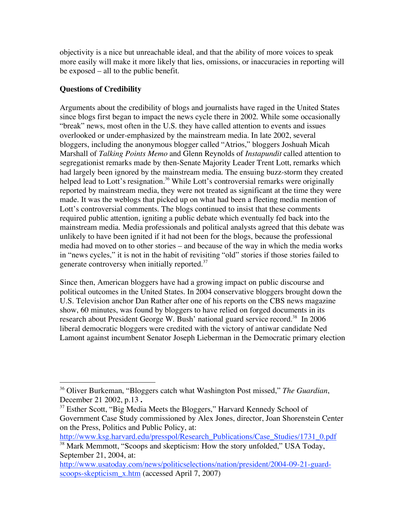objectivity is a nice but unreachable ideal, and that the ability of more voices to speak more easily will make it more likely that lies, omissions, or inaccuracies in reporting will be exposed – all to the public benefit.

# **Questions of Credibility**

Arguments about the credibility of blogs and journalists have raged in the United States since blogs first began to impact the news cycle there in 2002. While some occasionally "break" news, most often in the U.S. they have called attention to events and issues overlooked or under-emphasized by the mainstream media. In late 2002, several bloggers, including the anonymous blogger called "Atrios," bloggers Joshuah Micah Marshall of *Talking Points Memo* and Glenn Reynolds of *Instapundit* called attention to segregationist remarks made by then-Senate Majority Leader Trent Lott, remarks which had largely been ignored by the mainstream media. The ensuing buzz-storm they created helped lead to Lott's resignation.<sup>36</sup> While Lott's controversial remarks were originally reported by mainstream media, they were not treated as significant at the time they were made. It was the weblogs that picked up on what had been a fleeting media mention of Lott's controversial comments. The blogs continued to insist that these comments required public attention, igniting a public debate which eventually fed back into the mainstream media. Media professionals and political analysts agreed that this debate was unlikely to have been ignited if it had not been for the blogs, because the professional media had moved on to other stories – and because of the way in which the media works in "news cycles," it is not in the habit of revisiting "old" stories if those stories failed to generate controversy when initially reported. $37$ 

Since then, American bloggers have had a growing impact on public discourse and political outcomes in the United States. In 2004 conservative bloggers brought down the U.S. Television anchor Dan Rather after one of his reports on the CBS news magazine show, 60 minutes, was found by bloggers to have relied on forged documents in its research about President George W. Bush' national guard service record.<sup>38</sup> In 2006 liberal democratic bloggers were credited with the victory of antiwar candidate Ned Lamont against incumbent Senator Joseph Lieberman in the Democratic primary election

http://www.ksg.harvard.edu/presspol/Research\_Publications/Case\_Studies/1731\_0.pdf <sup>38</sup> Mark Memmott, "Scoops and skepticism: How the story unfolded," USA Today,

 <sup>36</sup> Oliver Burkeman, "Bloggers catch what Washington Post missed," *The Guardian*, December 21 2002, p.13 **.**

 $37$  Esther Scott, "Big Media Meets the Bloggers," Harvard Kennedy School of Government Case Study commissioned by Alex Jones, director, Joan Shorenstein Center on the Press, Politics and Public Policy, at:

September 21, 2004, at:

http://www.usatoday.com/news/politicselections/nation/president/2004-09-21-guardscoops-skepticism\_x.htm (accessed April 7, 2007)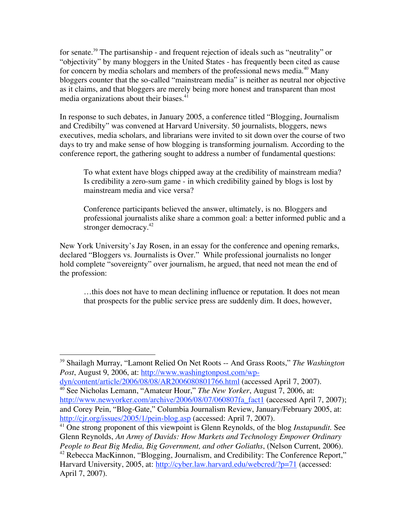for senate.<sup>39</sup> The partisanship - and frequent rejection of ideals such as "neutrality" or "objectivity" by many bloggers in the United States - has frequently been cited as cause for concern by media scholars and members of the professional news media.<sup>40</sup> Many bloggers counter that the so-called "mainstream media" is neither as neutral nor objective as it claims, and that bloggers are merely being more honest and transparent than most media organizations about their biases.<sup>41</sup>

In response to such debates, in January 2005, a conference titled "Blogging, Journalism and Credibilty" was convened at Harvard University. 50 journalists, bloggers, news executives, media scholars, and librarians were invited to sit down over the course of two days to try and make sense of how blogging is transforming journalism. According to the conference report, the gathering sought to address a number of fundamental questions:

To what extent have blogs chipped away at the credibility of mainstream media? Is credibility a zero-sum game - in which credibility gained by blogs is lost by mainstream media and vice versa?

Conference participants believed the answer, ultimately, is no. Bloggers and professional journalists alike share a common goal: a better informed public and a stronger democracy.<sup>42</sup>

New York University's Jay Rosen, in an essay for the conference and opening remarks, declared "Bloggers vs. Journalists is Over." While professional journalists no longer hold complete "sovereignty" over journalism, he argued, that need not mean the end of the profession:

…this does not have to mean declining influence or reputation. It does not mean that prospects for the public service press are suddenly dim. It does, however,

 <sup>39</sup> Shailagh Murray, "Lamont Relied On Net Roots -- And Grass Roots," *The Washington Post*, August 9, 2006, at: http://www.washingtonpost.com/wp-

dyn/content/article/2006/08/08/AR2006080801766.html (accessed April 7, 2007). <sup>40</sup> See Nicholas Lemann, "Amateur Hour," *The New Yorker*, August 7, 2006, at: http://www.newyorker.com/archive/2006/08/07/060807fa\_fact1 (accessed April 7, 2007); and Corey Pein, "Blog-Gate," Columbia Journalism Review, January/February 2005, at: http://cjr.org/issues/2005/1/pein-blog.asp (accessed: April 7, 2007).

<sup>41</sup> One strong proponent of this viewpoint is Glenn Reynolds, of the blog *Instapundit*. See Glenn Reynolds, *An Army of Davids: How Markets and Technology Empower Ordinary People to Beat Big Media, Big Government, and other Goliaths*, (Nelson Current, 2006).

<sup>&</sup>lt;sup>42</sup> Rebecca MacKinnon, "Blogging, Journalism, and Credibility: The Conference Report," Harvard University, 2005, at: http://cyber.law.harvard.edu/webcred/?p=71 (accessed: April 7, 2007).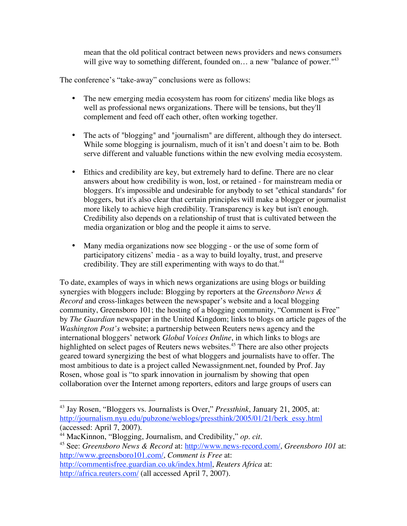mean that the old political contract between news providers and news consumers will give way to something different, founded on... a new "balance of power."<sup>43</sup>

The conference's "take-away" conclusions were as follows:

- The new emerging media ecosystem has room for citizens' media like blogs as well as professional news organizations. There will be tensions, but they'll complement and feed off each other, often working together.
- The acts of "blogging" and "journalism" are different, although they do intersect. While some blogging is journalism, much of it isn't and doesn't aim to be. Both serve different and valuable functions within the new evolving media ecosystem.
- Ethics and credibility are key, but extremely hard to define. There are no clear answers about how credibility is won, lost, or retained - for mainstream media or bloggers. It's impossible and undesirable for anybody to set "ethical standards" for bloggers, but it's also clear that certain principles will make a blogger or journalist more likely to achieve high credibility. Transparency is key but isn't enough. Credibility also depends on a relationship of trust that is cultivated between the media organization or blog and the people it aims to serve.
- Many media organizations now see blogging or the use of some form of participatory citizens' media - as a way to build loyalty, trust, and preserve credibility. They are still experimenting with ways to do that.<sup>44</sup>

To date, examples of ways in which news organizations are using blogs or building synergies with bloggers include: Blogging by reporters at the *Greensboro News & Record* and cross-linkages between the newspaper's website and a local blogging community, Greensboro 101; the hosting of a blogging community, "Comment is Free" by *The Guardian* newspaper in the United Kingdom; links to blogs on article pages of the *Washington Post's* website; a partnership between Reuters news agency and the international bloggers' network *Global Voices Online*, in which links to blogs are highlighted on select pages of Reuters news websites. <sup>45</sup> There are also other projects geared toward synergizing the best of what bloggers and journalists have to offer. The most ambitious to date is a project called Newassignment.net, founded by Prof. Jay Rosen, whose goal is "to spark innovation in journalism by showing that open collaboration over the Internet among reporters, editors and large groups of users can

 <sup>43</sup> Jay Rosen, "Bloggers vs. Journalists is Over," *Pressthink*, January 21, 2005, at: http://journalism.nyu.edu/pubzone/weblogs/pressthink/2005/01/21/berk\_essy.html (accessed: April 7, 2007).

<sup>44</sup> MacKinnon, "Blogging, Journalism, and Credibility," *op. cit.*

<sup>45</sup> See: *Greensboro News & Record* at: http://www.news-record.com/, *Greensboro 101* at: http://www.greensboro101.com/, *Comment is Free* at:

http://commentisfree.guardian.co.uk/index.html, *Reuters Africa* at: http://africa.reuters.com/ (all accessed April 7, 2007).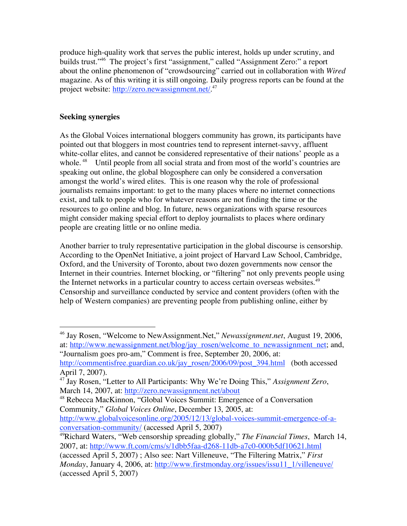produce high-quality work that serves the public interest, holds up under scrutiny, and builds trust." <sup>46</sup> The project's first "assignment," called "Assignment Zero:" a report about the online phenomenon of "crowdsourcing" carried out in collaboration with *Wired* magazine. As of this writing it is still ongoing. Daily progress reports can be found at the project website: http://zero.newassignment.net/.<sup>47</sup>

# **Seeking synergies**

As the Global Voices international bloggers community has grown, its participants have pointed out that bloggers in most countries tend to represent internet-savvy, affluent white-collar elites, and cannot be considered representative of their nations' people as a whole.<sup>48</sup> Until people from all social strata and from most of the world's countries are speaking out online, the global blogosphere can only be considered a conversation amongst the world's wired elites. This is one reason why the role of professional journalists remains important: to get to the many places where no internet connections exist, and talk to people who for whatever reasons are not finding the time or the resources to go online and blog. In future, news organizations with sparse resources might consider making special effort to deploy journalists to places where ordinary people are creating little or no online media.

Another barrier to truly representative participation in the global discourse is censorship. According to the OpenNet Initiative, a joint project of Harvard Law School, Cambridge, Oxford, and the University of Toronto, about two dozen governments now censor the Internet in their countries. Internet blocking, or "filtering" not only prevents people using the Internet networks in a particular country to access certain overseas websites.<sup>49</sup> Censorship and surveillance conducted by service and content providers (often with the help of Western companies) are preventing people from publishing online, either by

conversation-community/ (accessed April 5, 2007)

 <sup>46</sup> Jay Rosen, "Welcome to NewAssignment.Net," *Newassignment.net*, August 19, 2006, at: http://www.newassignment.net/blog/jay\_rosen/welcome\_to\_newassignment\_net; and, "Journalism goes pro-am," Comment is free, September 20, 2006, at:

http://commentisfree.guardian.co.uk/jay\_rosen/2006/09/post\_394.html (both accessed April 7, 2007).

<sup>47</sup> Jay Rosen, "Letter to All Participants: Why We're Doing This," *Assignment Zero*, March 14, 2007, at: http://zero.newassignment.net/about

<sup>48</sup> Rebecca MacKinnon, "Global Voices Summit: Emergence of a Conversation Community," *Global Voices Online*, December 13, 2005, at: http://www.globalvoicesonline.org/2005/12/13/global-voices-summit-emergence-of-a-

<sup>49</sup> Richard Waters, "Web censorship spreading globally," *The Financial Times*, March 14, 2007, at: http://www.ft.com/cms/s/1dbb5faa-d268-11db-a7c0-000b5df10621.html

<sup>(</sup>accessed April 5, 2007) ; Also see: Nart Villeneuve, "The Filtering Matrix," *First Monday*, January 4, 2006, at: http://www.firstmonday.org/issues/issu11\_1/villeneuve/ (accessed April 5, 2007)